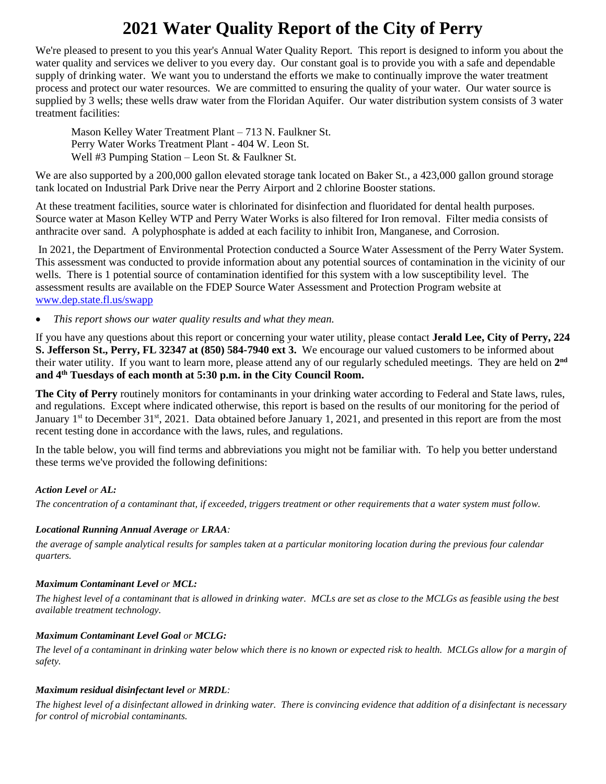# **2021 Water Quality Report of the City of Perry**

We're pleased to present to you this year's Annual Water Quality Report. This report is designed to inform you about the water quality and services we deliver to you every day. Our constant goal is to provide you with a safe and dependable supply of drinking water. We want you to understand the efforts we make to continually improve the water treatment process and protect our water resources. We are committed to ensuring the quality of your water. Our water source is supplied by 3 wells; these wells draw water from the Floridan Aquifer. Our water distribution system consists of 3 water treatment facilities:

Mason Kelley Water Treatment Plant – 713 N. Faulkner St. Perry Water Works Treatment Plant - 404 W. Leon St. Well #3 Pumping Station – Leon St. & Faulkner St.

We are also supported by a 200,000 gallon elevated storage tank located on Baker St., a 423,000 gallon ground storage tank located on Industrial Park Drive near the Perry Airport and 2 chlorine Booster stations.

At these treatment facilities, source water is chlorinated for disinfection and fluoridated for dental health purposes. Source water at Mason Kelley WTP and Perry Water Works is also filtered for Iron removal. Filter media consists of anthracite over sand. A polyphosphate is added at each facility to inhibit Iron, Manganese, and Corrosion.

In 2021, the Department of Environmental Protection conducted a Source Water Assessment of the Perry Water System. This assessment was conducted to provide information about any potential sources of contamination in the vicinity of our wells. There is 1 potential source of contamination identified for this system with a low susceptibility level. The assessment results are available on the FDEP Source Water Assessment and Protection Program website at [www.dep.state.fl.us/swapp](http://www.dep.state.fl.us/swapp)

• *This report shows our water quality results and what they mean.*

If you have any questions about this report or concerning your water utility, please contact **Jerald Lee, City of Perry, 224 S. Jefferson St., Perry, FL 32347 at (850) 584-7940 ext 3.** We encourage our valued customers to be informed about their water utility. If you want to learn more, please attend any of our regularly scheduled meetings. They are held on  $2^{nd}$ **and 4th Tuesdays of each month at 5:30 p.m. in the City Council Room.**

**The City of Perry** routinely monitors for contaminants in your drinking water according to Federal and State laws, rules, and regulations. Except where indicated otherwise, this report is based on the results of our monitoring for the period of January 1<sup>st</sup> to December 31<sup>st</sup>, 2021. Data obtained before January 1, 2021, and presented in this report are from the most recent testing done in accordance with the laws, rules, and regulations.

In the table below, you will find terms and abbreviations you might not be familiar with. To help you better understand these terms we've provided the following definitions:

# *Action Level or AL:*

*The concentration of a contaminant that, if exceeded, triggers treatment or other requirements that a water system must follow.*

# *Locational Running Annual Average or LRAA:*

*the average of sample analytical results for samples taken at a particular monitoring location during the previous four calendar quarters.*

# *Maximum Contaminant Level or MCL:*

*The highest level of a contaminant that is allowed in drinking water. MCLs are set as close to the MCLGs as feasible using the best available treatment technology.*

# *Maximum Contaminant Level Goal or MCLG:*

*The level of a contaminant in drinking water below which there is no known or expected risk to health. MCLGs allow for a margin of safety.*

# *Maximum residual disinfectant level or MRDL:*

*The highest level of a disinfectant allowed in drinking water. There is convincing evidence that addition of a disinfectant is necessary for control of microbial contaminants.*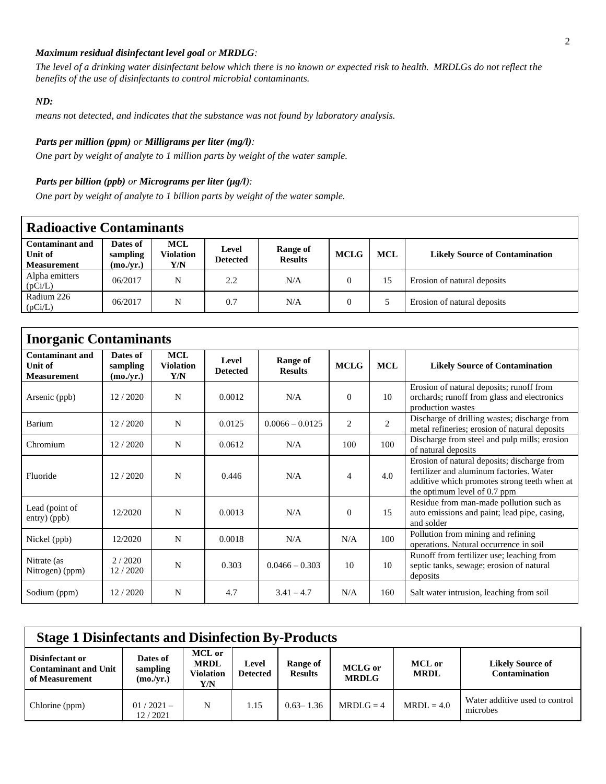#### *Maximum residual disinfectant level goal or MRDLG:*

*The level of a drinking water disinfectant below which there is no known or expected risk to health. MRDLGs do not reflect the benefits of the use of disinfectants to control microbial contaminants.*

#### *ND:*

*means not detected, and indicates that the substance was not found by laboratory analysis.*

#### *Parts per million (ppm) or Milligrams per liter (mg/l):*

*One part by weight of analyte to 1 million parts by weight of the water sample.* 

#### *Parts per billion (ppb) or Micrograms per liter (* $\mu$ *g/l):*

*One part by weight of analyte to 1 billion parts by weight of the water sample.*

| <b>Radioactive Contaminants</b>                         |                                   |                                |                          |                            |             |            |                                       |  |  |  |  |
|---------------------------------------------------------|-----------------------------------|--------------------------------|--------------------------|----------------------------|-------------|------------|---------------------------------------|--|--|--|--|
| <b>Contaminant and</b><br>Unit of<br><b>Measurement</b> | Dates of<br>sampling<br>(mo./vr.) | <b>MCL</b><br>Violation<br>Y/N | Level<br><b>Detected</b> | Range of<br><b>Results</b> | <b>MCLG</b> | <b>MCL</b> | <b>Likely Source of Contamination</b> |  |  |  |  |
| Alpha emitters<br>(pCi/L)                               | 06/2017                           | N                              | 2.2                      | N/A                        |             | 15         | Erosion of natural deposits           |  |  |  |  |
| Radium 226<br>(pCi/L)                                   | 06/2017                           | N                              | 0.7                      | N/A                        |             |            | Erosion of natural deposits           |  |  |  |  |

| <b>Inorganic Contaminants</b>                           |                                   |                                       |                          |                                   |                |                |                                                                                                                                                                         |  |  |  |  |
|---------------------------------------------------------|-----------------------------------|---------------------------------------|--------------------------|-----------------------------------|----------------|----------------|-------------------------------------------------------------------------------------------------------------------------------------------------------------------------|--|--|--|--|
| <b>Contaminant and</b><br>Unit of<br><b>Measurement</b> | Dates of<br>sampling<br>(mo./yr.) | <b>MCL</b><br><b>Violation</b><br>Y/N | Level<br><b>Detected</b> | <b>Range of</b><br><b>Results</b> | <b>MCLG</b>    | <b>MCL</b>     | <b>Likely Source of Contamination</b>                                                                                                                                   |  |  |  |  |
| Arsenic (ppb)                                           | 12 / 2020                         | N                                     | 0.0012                   | N/A                               | $\Omega$       | 10             | Erosion of natural deposits; runoff from<br>orchards; runoff from glass and electronics<br>production wastes                                                            |  |  |  |  |
| Barium                                                  | 12/2020                           | N                                     | 0.0125                   | $0.0066 - 0.0125$                 | $\overline{2}$ | $\overline{c}$ | Discharge of drilling wastes; discharge from<br>metal refineries; erosion of natural deposits                                                                           |  |  |  |  |
| Chromium                                                | 12/2020                           | N                                     | 0.0612                   | N/A                               | 100            | 100            | Discharge from steel and pulp mills; erosion<br>of natural deposits                                                                                                     |  |  |  |  |
| Fluoride                                                | 12/2020                           | N                                     | 0.446                    | N/A                               | 4              | 4.0            | Erosion of natural deposits; discharge from<br>fertilizer and aluminum factories. Water<br>additive which promotes strong teeth when at<br>the optimum level of 0.7 ppm |  |  |  |  |
| Lead (point of<br>$entry)$ (ppb)                        | 12/2020                           | N                                     | 0.0013                   | N/A                               | $\Omega$       | 15             | Residue from man-made pollution such as<br>auto emissions and paint; lead pipe, casing,<br>and solder                                                                   |  |  |  |  |
| Nickel (ppb)                                            | 12/2020                           | N                                     | 0.0018                   | N/A                               | N/A            | 100            | Pollution from mining and refining<br>operations. Natural occurrence in soil                                                                                            |  |  |  |  |
| Nitrate (as<br>Nitrogen) (ppm)                          | 2/2020<br>12/2020                 | N                                     | 0.303                    | $0.0466 - 0.303$                  | 10             | 10             | Runoff from fertilizer use; leaching from<br>septic tanks, sewage; erosion of natural<br>deposits                                                                       |  |  |  |  |
| Sodium (ppm)                                            | 12/2020                           | N                                     | 4.7                      | $3.41 - 4.7$                      | N/A            | 160            | Salt water intrusion, leaching from soil                                                                                                                                |  |  |  |  |

| <b>Stage 1 Disinfectants and Disinfection By-Products</b>        |                                   |                                           |                          |                            |                                |                              |                                                 |  |  |
|------------------------------------------------------------------|-----------------------------------|-------------------------------------------|--------------------------|----------------------------|--------------------------------|------------------------------|-------------------------------------------------|--|--|
| Disinfectant or<br><b>Contaminant and Unit</b><br>of Measurement | Dates of<br>sampling<br>(mo./yr.) | MCL or<br><b>MRDL</b><br>Violation<br>Y/N | Level<br><b>Detected</b> | Range of<br><b>Results</b> | <b>MCLG</b> or<br><b>MRDLG</b> | <b>MCL</b> or<br><b>MRDL</b> | <b>Likely Source of</b><br><b>Contamination</b> |  |  |
| Chlorine (ppm)                                                   | $01/2021-$<br>12/2021             | N                                         | 1.15                     | $0.63 - 1.36$              | $MRDI.G = 4$                   | $MRDL = 4.0$                 | Water additive used to control<br>microbes      |  |  |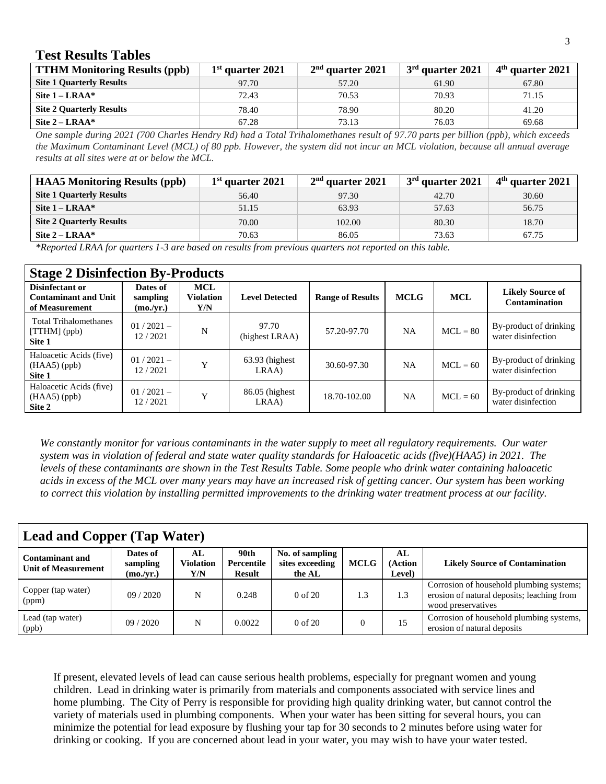# **Test Results Tables**

| <b>TTHM Monitoring Results (ppb)</b> | $1st$ quarter 2021 | $2nd$ quarter 2021 | $3rd$ quarter 2021 | $4th$ quarter 2021 |
|--------------------------------------|--------------------|--------------------|--------------------|--------------------|
| <b>Site 1 Quarterly Results</b>      | 97.70              | 57.20              | 61.90              | 67.80              |
| Site $1 - LRAA^*$                    | 72.43              | 70.53              | 70.93              | 71.15              |
| <b>Site 2 Ouarterly Results</b>      | 78.40              | 78.90              | 80.20              | 41.20              |
| Site $2 - LRAA^*$                    | 67.28              | 73.13              | 76.03              | 69.68              |

*One sample during 2021 (700 Charles Hendry Rd) had a Total Trihalomethanes result of 97.70 parts per billion (ppb), which exceeds the Maximum Contaminant Level (MCL) of 80 ppb. However, the system did not incur an MCL violation, because all annual average results at all sites were at or below the MCL.*

| <b>HAA5</b> Monitoring Results (ppb) | $1st$ quarter 2021 | $2nd$ quarter 2021 | $3rd$ quarter 2021 | $4th$ quarter 2021 |
|--------------------------------------|--------------------|--------------------|--------------------|--------------------|
| <b>Site 1 Quarterly Results</b>      | 56.40              | 97.30              | 42.70              | 30.60              |
| Site $1 - LRAA^*$                    | 51.15              | 63.93              | 57.63              | 56.75              |
| <b>Site 2 Quarterly Results</b>      | 70.00              | 102.00             | 80.30              | 18.70              |
| Site $2 - LRAA^*$                    | 70.63              | 86.05              | 73.63              | 67.75              |

*\*Reported LRAA for quarters 1-3 are based on results from previous quarters not reported on this table.*

| <b>Stage 2 Disinfection By-Products</b>                          |                                   |                                       |                            |                         |             |            |                                              |  |  |  |  |
|------------------------------------------------------------------|-----------------------------------|---------------------------------------|----------------------------|-------------------------|-------------|------------|----------------------------------------------|--|--|--|--|
| Disinfectant or<br><b>Contaminant and Unit</b><br>of Measurement | Dates of<br>sampling<br>(mo./yr.) | <b>MCL</b><br><b>Violation</b><br>Y/N | <b>Level Detected</b>      | <b>Range of Results</b> | <b>MCLG</b> | <b>MCL</b> | <b>Likely Source of</b><br>Contamination     |  |  |  |  |
| <b>Total Trihalomethanes</b><br>$[THM]$ (ppb)<br>Site 1          | $01/2021-$<br>12/2021             | N                                     | 97.70<br>(highest LRAA)    | 57.20-97.70             | <b>NA</b>   | $MCL = 80$ | By-product of drinking<br>water disinfection |  |  |  |  |
| Haloacetic Acids (five)<br>$(HAA5)$ (ppb)<br>Site 1              | $01/2021-$<br>12/2021             | Y                                     | $63.93$ (highest)<br>LRAA) | 30.60-97.30             | <b>NA</b>   | $MCL = 60$ | By-product of drinking<br>water disinfection |  |  |  |  |
| Haloacetic Acids (five)<br>$(HAA5)$ (ppb)<br>Site 2              | $01/2021-$<br>12/2021             | Y                                     | $86.05$ (highest)<br>LRAA) | 18.70-102.00            | <b>NA</b>   | $MCL = 60$ | By-product of drinking<br>water disinfection |  |  |  |  |

*We constantly monitor for various contaminants in the water supply to meet all regulatory requirements. Our water system was in violation of federal and state water quality standards for Haloacetic acids (five)(HAA5) in 2021. The levels of these contaminants are shown in the Test Results Table. Some people who drink water containing haloacetic acids in excess of the MCL over many years may have an increased risk of getting cancer. Our system has been working to correct this violation by installing permitted improvements to the drinking water treatment process at our facility.*

| <b>Lead and Copper (Tap Water)</b>     |                                   |                         |                              |                                              |             |                         |                                                                                                              |  |  |  |
|----------------------------------------|-----------------------------------|-------------------------|------------------------------|----------------------------------------------|-------------|-------------------------|--------------------------------------------------------------------------------------------------------------|--|--|--|
| Contaminant and<br>Unit of Measurement | Dates of<br>sampling<br>(mo./yr.) | AL.<br>Violation<br>Y/N | 90th<br>Percentile<br>Result | No. of sampling<br>sites exceeding<br>the AL | <b>MCLG</b> | AL<br>(Action<br>Level) | <b>Likely Source of Contamination</b>                                                                        |  |  |  |
| Copper (tap water)<br>(ppm)            | 09/2020                           | N                       | 0.248                        | $0$ of $20$                                  | 1.3         | 1.3                     | Corrosion of household plumbing systems;<br>erosion of natural deposits; leaching from<br>wood preservatives |  |  |  |
| Lead (tap water)<br>(ppb)              | 09/2020                           | N                       | 0.0022                       | $0$ of $20$                                  | $\Omega$    | 15                      | Corrosion of household plumbing systems,<br>erosion of natural deposits                                      |  |  |  |

If present, elevated levels of lead can cause serious health problems, especially for pregnant women and young children. Lead in drinking water is primarily from materials and components associated with service lines and home plumbing. The City of Perry is responsible for providing high quality drinking water, but cannot control the variety of materials used in plumbing components. When your water has been sitting for several hours, you can minimize the potential for lead exposure by flushing your tap for 30 seconds to 2 minutes before using water for drinking or cooking. If you are concerned about lead in your water, you may wish to have your water tested.